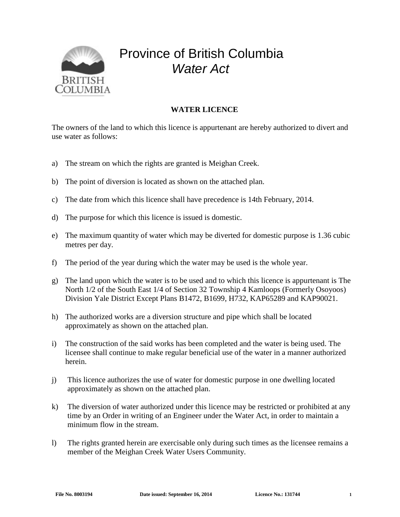

## Province of British Columbia *Water Act*

## **WATER LICENCE**

The owners of the land to which this licence is appurtenant are hereby authorized to divert and use water as follows:

- a) The stream on which the rights are granted is Meighan Creek.
- b) The point of diversion is located as shown on the attached plan.
- c) The date from which this licence shall have precedence is 14th February, 2014.
- d) The purpose for which this licence is issued is domestic.
- e) The maximum quantity of water which may be diverted for domestic purpose is 1.36 cubic metres per day.
- f) The period of the year during which the water may be used is the whole year.
- g) The land upon which the water is to be used and to which this licence is appurtenant is The North 1/2 of the South East 1/4 of Section 32 Township 4 Kamloops (Formerly Osoyoos) Division Yale District Except Plans B1472, B1699, H732, KAP65289 and KAP90021.
- h) The authorized works are a diversion structure and pipe which shall be located approximately as shown on the attached plan.
- i) The construction of the said works has been completed and the water is being used. The licensee shall continue to make regular beneficial use of the water in a manner authorized herein.
- j) This licence authorizes the use of water for domestic purpose in one dwelling located approximately as shown on the attached plan.
- k) The diversion of water authorized under this licence may be restricted or prohibited at any time by an Order in writing of an Engineer under the Water Act, in order to maintain a minimum flow in the stream.
- l) The rights granted herein are exercisable only during such times as the licensee remains a member of the Meighan Creek Water Users Community.